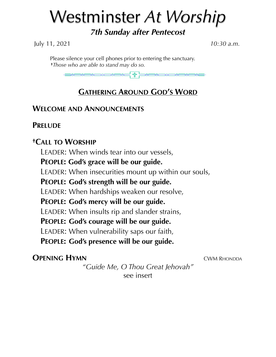# Westminster *At Worship*

*7th Sunday after Pentecost*

July 11, 2021 *10:30 a.m.*

 Please silence your cell phones prior to entering the sanctuary. **†***Those who are able to stand may do so.*

# **GATHERING AROUND GOD'S WORD**

# **WELCOME AND ANNOUNCEMENTS**

**PRELUDE**

# **†CALL TO WORSHIP**

LEADER: When winds tear into our vessels,

**PEOPLE: God's grace will be our guide.**

LEADER: When insecurities mount up within our souls,

**PEOPLE: God's strength will be our guide.**

LEADER: When hardships weaken our resolve,

**PEOPLE: God's mercy will be our guide.**

LEADER: When insults rip and slander strains,

**PEOPLE: God's courage will be our guide.**

LEADER: When vulnerability saps our faith,

**PEOPLE: God's presence will be our guide.**

# **OPENING HYMN** CWM RHONDDA

*"Guide Me, O Thou Great Jehovah"* see insert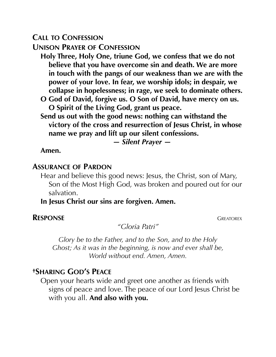# **CALL TO CONFESSION**

## **UNISON PRAYER OF CONFESSION**

- **Holy Three, Holy One, triune God, we confess that we do not believe that you have overcome sin and death. We are more in touch with the pangs of our weakness than we are with the power of your love. In fear, we worship idols; in despair, we collapse in hopelessness; in rage, we seek to dominate others.**
- **O God of David, forgive us. O Son of David, have mercy on us. O Spirit of the Living God, grant us peace.**
- **Send us out with the good news: nothing can withstand the victory of the cross and resurrection of Jesus Christ, in whose name we pray and lift up our silent confessions.**

*— Silent Prayer —*

#### **Amen.**

#### **ASSURANCE OF PARDON**

Hear and believe this good news: Jesus, the Christ, son of Mary, Son of the Most High God, was broken and poured out for our salvation.

#### **In Jesus Christ our sins are forgiven. Amen.**

#### **RESPONSE** GREATOREX

*"Gloria Patri"*

*Glory be to the Father, and to the Son, and to the Holy Ghost; As it was in the beginning, is now and ever shall be, World without end. Amen, Amen.*

# **†SHARING GOD'S PEACE**

Open your hearts wide and greet one another as friends with signs of peace and love. The peace of our Lord Jesus Christ be with you all. **And also with you.**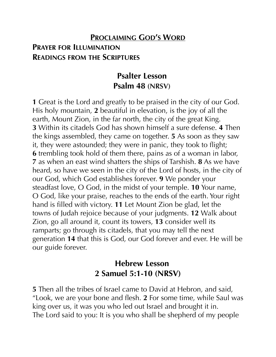# **PROCLAIMING GOD'S WORD PRAYER FOR ILLUMINATION READINGS FROM THE SCRIPTURES**

# **Psalter Lesson Psalm 48 (NRSV)**

**1** Great is the Lord and greatly to be praised in the city of our God. His holy mountain, **2** beautiful in elevation, is the joy of all the earth, Mount Zion, in the far north, the city of the great King. **3** Within its citadels God has shown himself a sure defense. **4** Then the kings assembled, they came on together. **5** As soon as they saw it, they were astounded; they were in panic, they took to flight; **6** trembling took hold of them there, pains as of a woman in labor, **7** as when an east wind shatters the ships of Tarshish. **8** As we have heard, so have we seen in the city of the Lord of hosts, in the city of our God, which God establishes forever. **9** We ponder your steadfast love, O God, in the midst of your temple. **10** Your name, O God, like your praise, reaches to the ends of the earth. Your right hand is filled with victory. **11** Let Mount Zion be glad, let the towns of Judah rejoice because of your judgments. **12** Walk about Zion, go all around it, count its towers, **13** consider well its ramparts; go through its citadels, that you may tell the next generation **14** that this is God, our God forever and ever. He will be our guide forever.

# **Hebrew Lesson 2 Samuel 5:1-10 (NRSV)**

**5** Then all the tribes of Israel came to David at Hebron, and said, "Look, we are your bone and flesh. **2** For some time, while Saul was king over us, it was you who led out Israel and brought it in. The Lord said to you: It is you who shall be shepherd of my people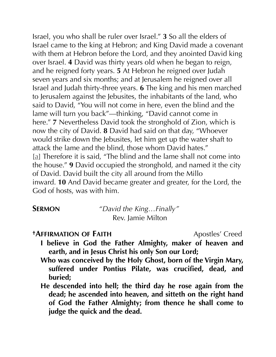Israel, you who shall be ruler over Israel." **3** So all the elders of Israel came to the king at Hebron; and King David made a covenant with them at Hebron before the Lord, and they anointed David king over Israel. **4** David was thirty years old when he began to reign, and he reigned forty years. **5** At Hebron he reigned over Judah seven years and six months; and at Jerusalem he reigned over all Israel and Judah thirty-three years. **6** The king and his men marched to Jerusalem against the Jebusites, the inhabitants of the land, who said to David, "You will not come in here, even the blind and the lame will turn you back"—thinking, "David cannot come in here." **7** Nevertheless David took the stronghold of Zion, which is now the city of David. **8** David had said on that day, "Whoever would strike down the Jebusites, let him get up the water shaft to attack the lame and the blind, those whom David hates." [\[a](https://www.biblegateway.com/passage/?search=2+Samuel+5%3A1-10&version=NRSV#fen-NRSV-8141a)] Therefore it is said, "The blind and the lame shall not come into the house." **9** David occupied the stronghold, and named it the city of David. David built the city all around from the Millo inward. **10** And David became greater and greater, for the Lord, the God of hosts, was with him.

**SERMON** *"David the King…Finally"* Rev. Jamie Milton

#### *†AFFIRMATION OF FAITH* Apostles' Creed

- **I believe in God the Father Almighty, maker of heaven and earth, and in Jesus Christ his only Son our Lord;**
- **Who was conceived by the Holy Ghost, born of the Virgin Mary, suffered under Pontius Pilate, was crucified, dead, and buried;**
- **He descended into hell; the third day he rose again from the dead; he ascended into heaven, and sitteth on the right hand of God the Father Almighty; from thence he shall come to judge the quick and the dead.**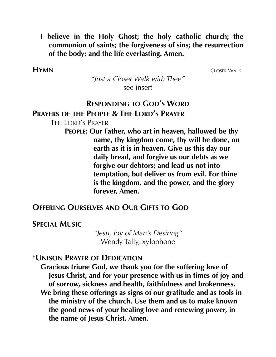**I believe in the Holy Ghost; the holy catholic church; the communion of saints; the forgiveness of sins; the resurrection of the body; and the life everlasting. Amen.**

**HYMN** CLOSER WALK

*"Just a Closer Walk with Thee"* see insert

# **RESPONDING TO GOD'S WORD**

## **PRAYERS OF THE PEOPLE & THE LORD'S PRAYER**

THE LORD'S PRAYER

**PEOPLE: Our Father, who art in heaven, hallowed be thy name, thy kingdom come, thy will be done, on earth as it is in heaven. Give us this day our daily bread, and forgive us our debts as we forgive our debtors; and lead us not into temptation, but deliver us from evil. For thine is the kingdom, and the power, and the glory forever, Amen.**

# **OFFERING OURSELVES AND OUR GIFTS TO GOD**

**SPECIAL MUSIC** 

*"Jesu, Joy of Man's Desiring"* Wendy Tally, xylophone

# **†UNISON PRAYER OF DEDICATION**

**Gracious triune God, we thank you for the suffering love of Jesus Christ, and for your presence with us in times of joy and of sorrow, sickness and health, faithfulness and brokenness. We bring these offerings as signs of our gratitude and as tools in the ministry of the church. Use them and us to make known the good news of your healing love and renewing power, in the name of Jesus Christ. Amen.**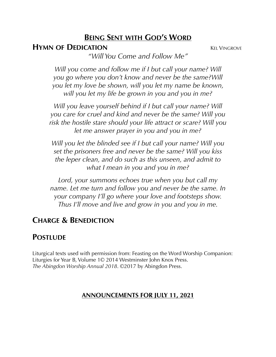# **BEING SENT WITH GOD'S WORD**

#### **HYMN OF DEDICATION KEL VINGROVE**

*"Will You Come and Follow Me"*

*Will you come and follow me if I but call your name? Will you go where you don't know and never be the same?Will you let my love be shown, will you let my name be known, will you let my life be grown in you and you in me?*

*Will you leave yourself behind if I but call your name? Will you care for cruel and kind and never be the same? Will you risk the hostile stare should your life attract or scare? Will you let me answer prayer in you and you in me?*

*Will you let the blinded see if I but call your name? Will you set the prisoners free and never be the same? Will you kiss the leper clean, and do such as this unseen, and admit to what I mean in you and you in me?*

*Lord, your summons echoes true when you but call my name. Let me turn and follow you and never be the same. In your company I'll go where your love and footsteps show. Thus I'll move and live and grow in you and you in me.*

# **CHARGE & BENEDICTION**

# **POSTLUDE**

Liturgical texts used with permission from: Feasting on the Word Worship Companion: Liturgies for Year B, Volume 1© 2014 Westminster John Knox Press. *The Abingdon Worship Annual 2018*. ©2017 by Abingdon Press.

#### **ANNOUNCEMENTS FOR JULY 11, 2021**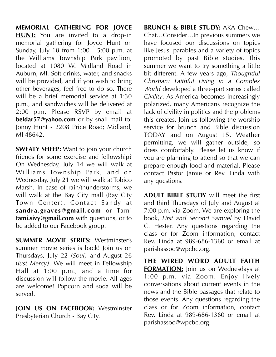**MEMORIAL GATHERING FOR JOYCE** 

**HUNT:** You are invited to a drop-in memorial gathering for Joyce Hunt on Sunday, July 18 from 1:00 - 5:00 p.m. at the Williams Township Park pavilion, located at 1080 W. Midland Road in Auburn, MI. Soft drinks, water, and snacks will be provided, and if you wish to bring other beverages, feel free to do so. There will be a brief memorial service at 1:30 p.m., and sandwiches will be delivered at 2:00 p.m. Please RSVP by email at **[beldar57@yahoo.com](mailto:beldar57@yahoo.com)** or by snail mail to: Jonny Hunt - 2208 Price Road; Midland, MI 48642.

**SWEATY SHEEP:** Want to join your church friends for some exercise and fellowship? On Wednesday, July 14 we will walk at Williams Township Park, and on Wednesday, July 21 we will walk at Tobico Marsh. In case of rain/thunderstorms, we will walk at the Bay City mall (Bay City Town Center). Contact Sandy at **[sandra.graves@gmail.com](mailto:sandra.graves@gmail.com)** or Tami **[tami.sivy@gmail.com](mailto:tami.sivy@gmail.com)** with questions, or to be added to our Facebook group.

**SUMMER MOVIE SERIES:** Westminster's summer movie series is back! Join us on Thursdays, July 22 (*Soul)* and August 26 (*Just Mercy)*. We will meet in Fellowship Hall at 1:00 p.m., and a time for discussion will follow the movie. All ages are welcome! Popcorn and soda will be served.

**JOIN US ON FACEBOOK:** Westminster Presbyterian Church - Bay City.

**BRUNCH & BIBLE STUDY:** AKA Chew… Chat…Consider…In previous summers we have focused our discussions on topics like Jesus' parables and a variety of topics promoted by past Bible studies. This summer we want to try something a little bit different. A few years ago, *Thoughtful Christian: Faithful Living in a Complex World* developed a three-part series called *Civility*. As America becomes increasingly polarized, many Americans recognize the lack of civility in politics and the problems this creates. Join us following the worship service for brunch and Bible discussion TODAY and on August 15. Weather permitting, we will gather outside, so dress comfortably. Please let us know if you are planning to attend so that we can prepare enough food and material. Please contact Pastor Jamie or Rev. Linda with any questions.

**ADULT BIBLE STUDY** will meet the first and third Thursdays of July and August at 7:00 p.m. via Zoom. We are exploring the book, *First and Second Samuel* by David C. Hester. Any questions regarding the class or for Zoom information, contact Rev. Linda at 989-686-1360 or email at parishassoc@wpcbc.org.

**THE WIRED WORD ADULT FAITH FORMATION:** Join us on Wednesdays at 1:00 p.m. via Zoom. Enjoy lively conversations about current events in the news and the Bible passages that relate to those events. Any questions regarding the class or for Zoom information, contact Rev. Linda at 989-686-1360 or email at [parishassoc@wpcbc.org.](mailto:parishassoc@wpcbc.org)